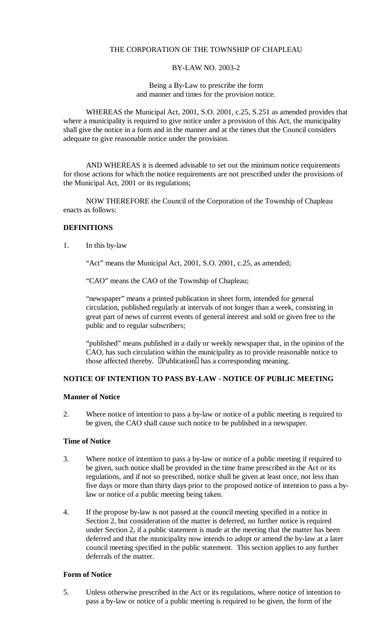## THE CORPORATION OF THE TOWNSHIP OF CHAPLEAU

#### BY-LAW NO. 2003-2

Being a By-Law to prescribe the form and manner and times for the provision notice.

WHEREAS the Municipal Act, 2001, S.O. 2001, c.25, S.251 as amended provides that where a municipality is required to give notice under a provision of this Act, the municipality shall give the notice in a form and in the manner and at the times that the Council considers adequate to give reasonable notice under the provision.

AND WHEREAS it is deemed advisable to set out the minimum notice requirements for those actions for which the notice requirements are not prescribed under the provisions of the Municipal Act, 2001 or its regulations;

NOW THEREFORE the Council of the Corporation of the Township of Chapleau enacts as follows:

# **DEFINITIONS**

1. In this by-law

"Act" means the Municipal Act, 2001, S.O. 2001, c.25, as amended;

"CAO" means the CAO of the Township of Chapleau;

"newspaper" means a printed publication in sheet form, intended for general circulation, published regularly at intervals of not longer than a week, consisting in great part of news of current events of general interest and sold or given free to the public and to regular subscribers;

"published" means published in a daily or weekly newspaper that, in the opinion of the CAO, has such circulation within the municipality as to provide reasonable notice to those affected thereby. Publication has a corresponding meaning.

### **NOTICE OF INTENTION TO PASS BY-LAW - NOTICE OF PUBLIC MEETING**

### **Manner of Notice**

2. Where notice of intention to pass a by-law or notice of a public meeting is required to be given, the CAO shall cause such notice to be published in a newspaper.

### **Time of Notice**

- 3. Where notice of intention to pass a by-law or notice of a public meeting if required to be given, such notice shall be provided in the time frame prescribed in the Act or its regulations, and if not so prescribed, notice shall be given at least once, not less than five days or more than thirty days prior to the proposed notice of intention to pass a bylaw or notice of a public meeting being taken.
- 4. If the propose by-law is not passed at the council meeting specified in a notice in Section 2, but consideration of the matter is deferred, no further notice is required under Section 2, if a public statement is made at the meeting that the matter has been deferred and that the municipality now intends to adopt or amend the by-law at a later council meeting specified in the public statement. This section applies to any further deferrals of the matter.

### **Form of Notice**

5. Unless otherwise prescribed in the Act or its regulations, where notice of intention to pass a by-law or notice of a public meeting is required to be given, the form of the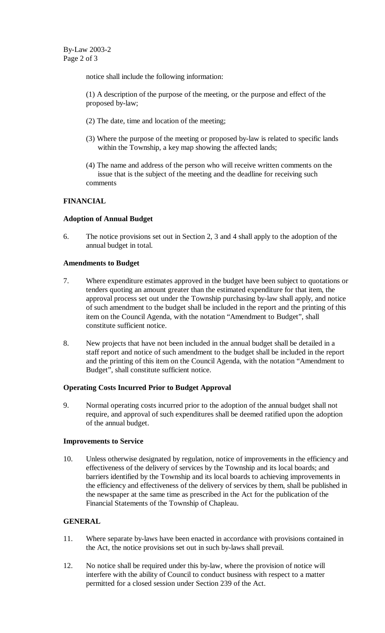notice shall include the following information:

(1) A description of the purpose of the meeting, or the purpose and effect of the proposed by-law;

- (2) The date, time and location of the meeting;
- (3) Where the purpose of the meeting or proposed by-law is related to specific lands within the Township, a key map showing the affected lands;
- (4) The name and address of the person who will receive written comments on the issue that is the subject of the meeting and the deadline for receiving such comments

## **FINANCIAL**

### **Adoption of Annual Budget**

6. The notice provisions set out in Section 2, 3 and 4 shall apply to the adoption of the annual budget in total.

#### **Amendments to Budget**

- 7. Where expenditure estimates approved in the budget have been subject to quotations or tenders quoting an amount greater than the estimated expenditure for that item, the approval process set out under the Township purchasing by-law shall apply, and notice of such amendment to the budget shall be included in the report and the printing of this item on the Council Agenda, with the notation "Amendment to Budget", shall constitute sufficient notice.
- 8. New projects that have not been included in the annual budget shall be detailed in a staff report and notice of such amendment to the budget shall be included in the report and the printing of this item on the Council Agenda, with the notation "Amendment to Budget", shall constitute sufficient notice.

### **Operating Costs Incurred Prior to Budget Approval**

9. Normal operating costs incurred prior to the adoption of the annual budget shall not require, and approval of such expenditures shall be deemed ratified upon the adoption of the annual budget.

### **Improvements to Service**

10. Unless otherwise designated by regulation, notice of improvements in the efficiency and effectiveness of the delivery of services by the Township and its local boards; and barriers identified by the Township and its local boards to achieving improvements in the efficiency and effectiveness of the delivery of services by them, shall be published in the newspaper at the same time as prescribed in the Act for the publication of the Financial Statements of the Township of Chapleau.

### **GENERAL**

- 11. Where separate by-laws have been enacted in accordance with provisions contained in the Act, the notice provisions set out in such by-laws shall prevail.
- 12. No notice shall be required under this by-law, where the provision of notice will interfere with the ability of Council to conduct business with respect to a matter permitted for a closed session under Section 239 of the Act.